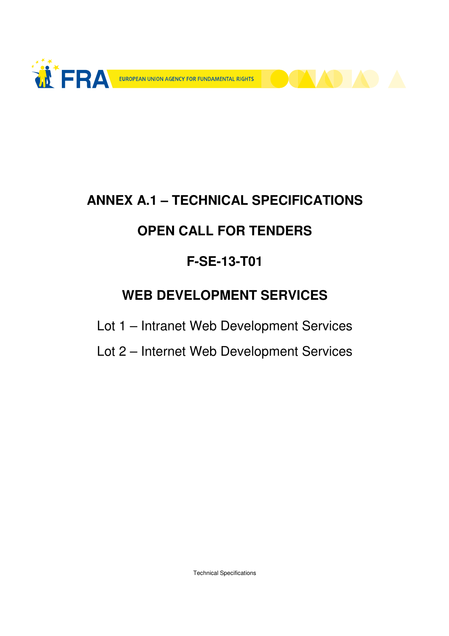

# **ANNEX A.1 – TECHNICAL SPECIFICATIONS**

## **OPEN CALL FOR TENDERS**

## **F-SE-13-T01**

### **WEB DEVELOPMENT SERVICES**

Lot 1 – Intranet Web Development Services

Lot 2 – Internet Web Development Services

Technical Specifications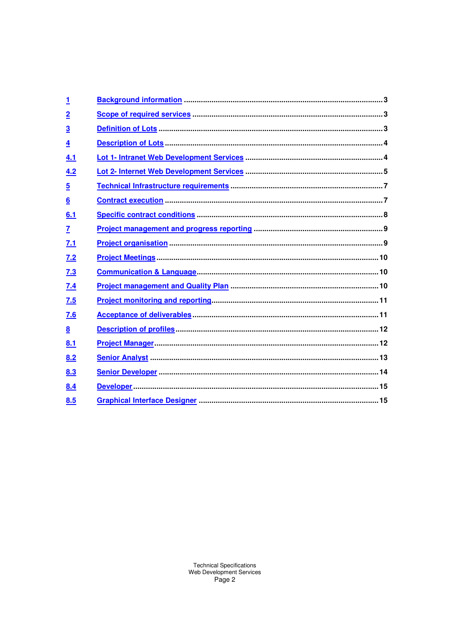| <u>1</u>        |  |
|-----------------|--|
| $\overline{2}$  |  |
| $\overline{3}$  |  |
| $\overline{4}$  |  |
| 4.1             |  |
| 4.2             |  |
| $\overline{5}$  |  |
| 6               |  |
| 6.1             |  |
| $\overline{1}$  |  |
| 7.1             |  |
| 7.2             |  |
| 7.3             |  |
| 7.4             |  |
| 7.5             |  |
| 7.6             |  |
| $\underline{8}$ |  |
| 8.1             |  |
| 8.2             |  |
| 8.3             |  |
| 8.4             |  |
| 8.5             |  |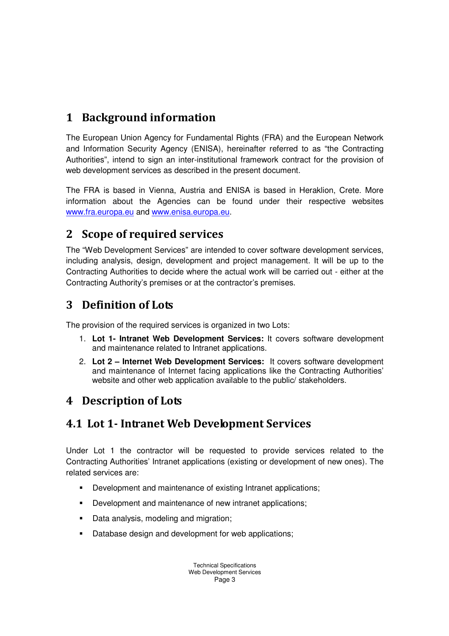#### 1 Background information

The European Union Agency for Fundamental Rights (FRA) and the European Network and Information Security Agency (ENISA), hereinafter referred to as "the Contracting Authorities", intend to sign an inter-institutional framework contract for the provision of web development services as described in the present document.

The FRA is based in Vienna, Austria and ENISA is based in Heraklion, Crete. More information about the Agencies can be found under their respective websites www.fra.europa.eu and www.enisa.europa.eu.

#### 2 Scope of required services

The "Web Development Services" are intended to cover software development services, including analysis, design, development and project management. It will be up to the Contracting Authorities to decide where the actual work will be carried out - either at the Contracting Authority's premises or at the contractor's premises.

#### 3 Definition of Lots

The provision of the required services is organized in two Lots:

- 1. **Lot 1- Intranet Web Development Services:** It covers software development and maintenance related to Intranet applications.
- 2. **Lot 2 Internet Web Development Services:** It covers software development and maintenance of Internet facing applications like the Contracting Authorities' website and other web application available to the public/ stakeholders.

### 4 Description of Lots

#### 4.1 Lot 1- Intranet Web Development Services

Under Lot 1 the contractor will be requested to provide services related to the Contracting Authorities' Intranet applications (existing or development of new ones). The related services are:

- Development and maintenance of existing Intranet applications:
- Development and maintenance of new intranet applications;
- Data analysis, modeling and migration:
- Database design and development for web applications: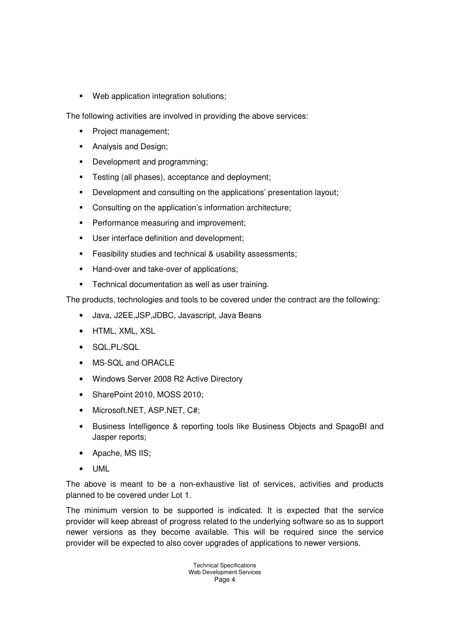**Web application integration solutions;** 

The following activities are involved in providing the above services:

- **Project management;**
- **Analysis and Design;**
- Development and programming;
- **Testing (all phases), acceptance and deployment;**
- **Development and consulting on the applications' presentation layout;**
- Consulting on the application's information architecture;
- **Performance measuring and improvement;**
- **User interface definition and development;**
- **Feasibility studies and technical & usability assessments;**
- Hand-over and take-over of applications;
- **Technical documentation as well as user training.**

The products, technologies and tools to be covered under the contract are the following:

- Java, J2EE,JSP,JDBC, Javascript, Java Beans
- HTML, XML, XSL
- SQL,PL/SQL
- MS-SQL and ORACLE
- Windows Server 2008 R2 Active Directory
- SharePoint 2010, MOSS 2010;
- Microsoft.NET, ASP.NET, C#;
- Business Intelligence & reporting tools like Business Objects and SpagoBI and Jasper reports;
- Apache, MS IIS;
- UML

The above is meant to be a non-exhaustive list of services, activities and products planned to be covered under Lot 1.

The minimum version to be supported is indicated. It is expected that the service provider will keep abreast of progress related to the underlying software so as to support newer versions as they become available. This will be required since the service provider will be expected to also cover upgrades of applications to newer versions.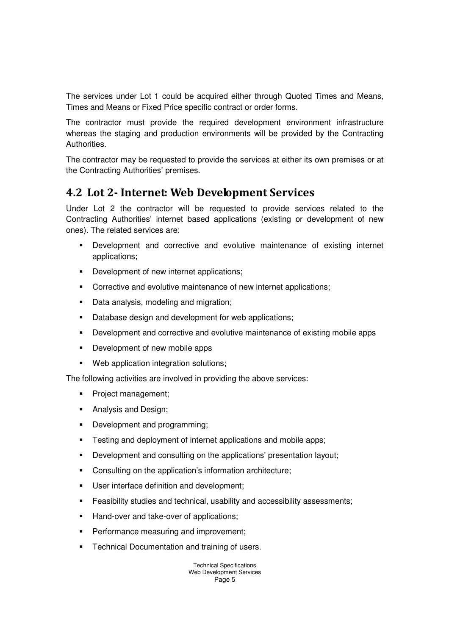The services under Lot 1 could be acquired either through Quoted Times and Means, Times and Means or Fixed Price specific contract or order forms.

The contractor must provide the required development environment infrastructure whereas the staging and production environments will be provided by the Contracting Authorities.

The contractor may be requested to provide the services at either its own premises or at the Contracting Authorities' premises.

#### 4.2 Lot 2- Internet: Web Development Services

Under Lot 2 the contractor will be requested to provide services related to the Contracting Authorities' internet based applications (existing or development of new ones). The related services are:

- Development and corrective and evolutive maintenance of existing internet applications;
- **•** Development of new internet applications;
- **Corrective and evolutive maintenance of new internet applications;**
- **Data analysis, modeling and migration;**
- **Database design and development for web applications;**
- **Development and corrective and evolutive maintenance of existing mobile apps**
- **-** Development of new mobile apps
- Web application integration solutions;

The following activities are involved in providing the above services:

- Project management;
- **Analysis and Design;**
- Development and programming;
- **Testing and deployment of internet applications and mobile apps;**
- Development and consulting on the applications' presentation layout;
- Consulting on the application's information architecture;
- **User interface definition and development;**
- Feasibility studies and technical, usability and accessibility assessments;
- Hand-over and take-over of applications;
- **Performance measuring and improvement;**
- **Technical Documentation and training of users.**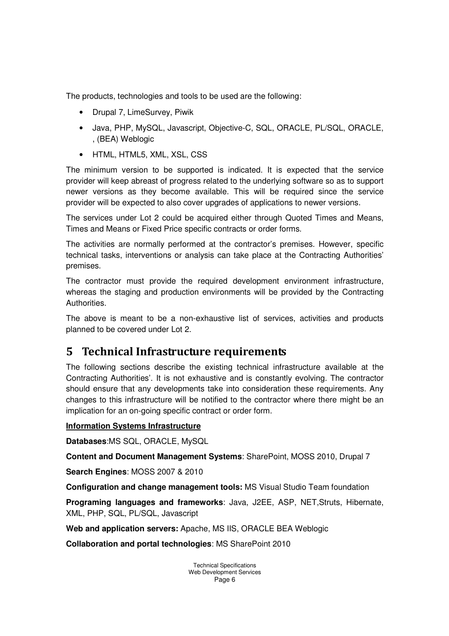The products, technologies and tools to be used are the following:

- Drupal 7, LimeSurvey, Piwik
- Java, PHP, MySQL, Javascript, Objective-C, SQL, ORACLE, PL/SQL, ORACLE, , (BEA) Weblogic
- HTML, HTML5, XML, XSL, CSS

The minimum version to be supported is indicated. It is expected that the service provider will keep abreast of progress related to the underlying software so as to support newer versions as they become available. This will be required since the service provider will be expected to also cover upgrades of applications to newer versions.

The services under Lot 2 could be acquired either through Quoted Times and Means, Times and Means or Fixed Price specific contracts or order forms.

The activities are normally performed at the contractor's premises. However, specific technical tasks, interventions or analysis can take place at the Contracting Authorities' premises.

The contractor must provide the required development environment infrastructure, whereas the staging and production environments will be provided by the Contracting **Authorities** 

The above is meant to be a non-exhaustive list of services, activities and products planned to be covered under Lot 2.

#### 5 Technical Infrastructure requirements

The following sections describe the existing technical infrastructure available at the Contracting Authorities'. It is not exhaustive and is constantly evolving. The contractor should ensure that any developments take into consideration these requirements. Any changes to this infrastructure will be notified to the contractor where there might be an implication for an on-going specific contract or order form.

#### **Information Systems Infrastructure**

**Databases**:MS SQL, ORACLE, MySQL

**Content and Document Management Systems**: SharePoint, MOSS 2010, Drupal 7

**Search Engines**: MOSS 2007 & 2010

**Configuration and change management tools:** MS Visual Studio Team foundation

**Programing languages and frameworks**: Java, J2EE, ASP, NET,Struts, Hibernate, XML, PHP, SQL, PL/SQL, Javascript

**Web and application servers:** Apache, MS IIS, ORACLE BEA Weblogic

**Collaboration and portal technologies**: MS SharePoint 2010

Technical Specifications Web Development Services Page 6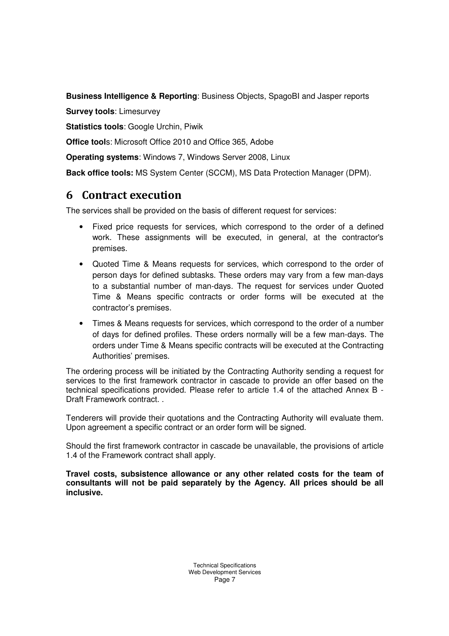**Business Intelligence & Reporting**: Business Objects, SpagoBI and Jasper reports

**Survey tools**: Limesurvey

**Statistics tools**: Google Urchin, Piwik

**Office tool**s: Microsoft Office 2010 and Office 365, Adobe

**Operating systems**: Windows 7, Windows Server 2008, Linux

**Back office tools:** MS System Center (SCCM), MS Data Protection Manager (DPM).

#### 6 Contract execution

The services shall be provided on the basis of different request for services:

- Fixed price requests for services, which correspond to the order of a defined work. These assignments will be executed, in general, at the contractor's premises.
- Quoted Time & Means requests for services, which correspond to the order of person days for defined subtasks. These orders may vary from a few man-days to a substantial number of man-days. The request for services under Quoted Time & Means specific contracts or order forms will be executed at the contractor's premises.
- Times & Means requests for services, which correspond to the order of a number of days for defined profiles. These orders normally will be a few man-days. The orders under Time & Means specific contracts will be executed at the Contracting Authorities' premises.

The ordering process will be initiated by the Contracting Authority sending a request for services to the first framework contractor in cascade to provide an offer based on the technical specifications provided. Please refer to article 1.4 of the attached Annex B - Draft Framework contract. .

Tenderers will provide their quotations and the Contracting Authority will evaluate them. Upon agreement a specific contract or an order form will be signed.

Should the first framework contractor in cascade be unavailable, the provisions of article 1.4 of the Framework contract shall apply.

**Travel costs, subsistence allowance or any other related costs for the team of consultants will not be paid separately by the Agency. All prices should be all inclusive.**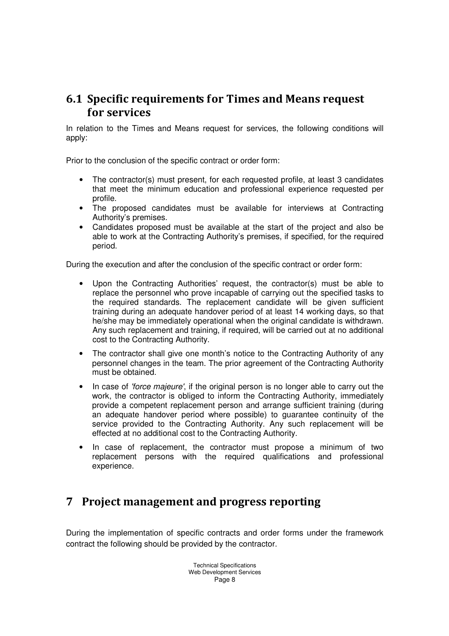#### 6.1 Specific requirements for Times and Means request for services

In relation to the Times and Means request for services, the following conditions will apply:

Prior to the conclusion of the specific contract or order form:

- The contractor(s) must present, for each requested profile, at least 3 candidates that meet the minimum education and professional experience requested per profile.
- The proposed candidates must be available for interviews at Contracting Authority's premises.
- Candidates proposed must be available at the start of the project and also be able to work at the Contracting Authority's premises, if specified, for the required period.

During the execution and after the conclusion of the specific contract or order form:

- Upon the Contracting Authorities' request, the contractor(s) must be able to replace the personnel who prove incapable of carrying out the specified tasks to the required standards. The replacement candidate will be given sufficient training during an adequate handover period of at least 14 working days, so that he/she may be immediately operational when the original candidate is withdrawn. Any such replacement and training, if required, will be carried out at no additional cost to the Contracting Authority.
- The contractor shall give one month's notice to the Contracting Authority of any personnel changes in the team. The prior agreement of the Contracting Authority must be obtained.
- In case of 'force majeure', if the original person is no longer able to carry out the work, the contractor is obliged to inform the Contracting Authority, immediately provide a competent replacement person and arrange sufficient training (during an adequate handover period where possible) to guarantee continuity of the service provided to the Contracting Authority. Any such replacement will be effected at no additional cost to the Contracting Authority.
- In case of replacement, the contractor must propose a minimum of two replacement persons with the required qualifications and professional experience.

#### 7 Project management and progress reporting

During the implementation of specific contracts and order forms under the framework contract the following should be provided by the contractor.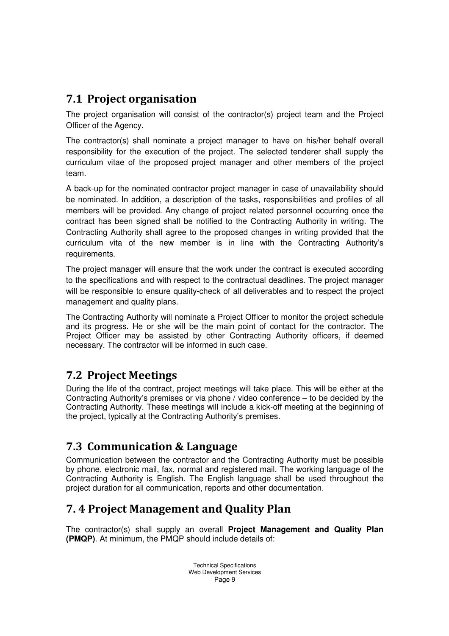#### 7.1 Project organisation

The project organisation will consist of the contractor(s) project team and the Project Officer of the Agency.

The contractor(s) shall nominate a project manager to have on his/her behalf overall responsibility for the execution of the project. The selected tenderer shall supply the curriculum vitae of the proposed project manager and other members of the project team.

A back-up for the nominated contractor project manager in case of unavailability should be nominated. In addition, a description of the tasks, responsibilities and profiles of all members will be provided. Any change of project related personnel occurring once the contract has been signed shall be notified to the Contracting Authority in writing. The Contracting Authority shall agree to the proposed changes in writing provided that the curriculum vita of the new member is in line with the Contracting Authority's requirements.

The project manager will ensure that the work under the contract is executed according to the specifications and with respect to the contractual deadlines. The project manager will be responsible to ensure quality-check of all deliverables and to respect the project management and quality plans.

The Contracting Authority will nominate a Project Officer to monitor the project schedule and its progress. He or she will be the main point of contact for the contractor. The Project Officer may be assisted by other Contracting Authority officers, if deemed necessary. The contractor will be informed in such case.

#### 7.2 Project Meetings

During the life of the contract, project meetings will take place. This will be either at the Contracting Authority's premises or via phone / video conference – to be decided by the Contracting Authority. These meetings will include a kick-off meeting at the beginning of the project, typically at the Contracting Authority's premises.

#### 7.3 Communication & Language

Communication between the contractor and the Contracting Authority must be possible by phone, electronic mail, fax, normal and registered mail. The working language of the Contracting Authority is English. The English language shall be used throughout the project duration for all communication, reports and other documentation.

#### 7. 4 Project Management and Quality Plan

The contractor(s) shall supply an overall **Project Management and Quality Plan (PMQP)**. At minimum, the PMQP should include details of: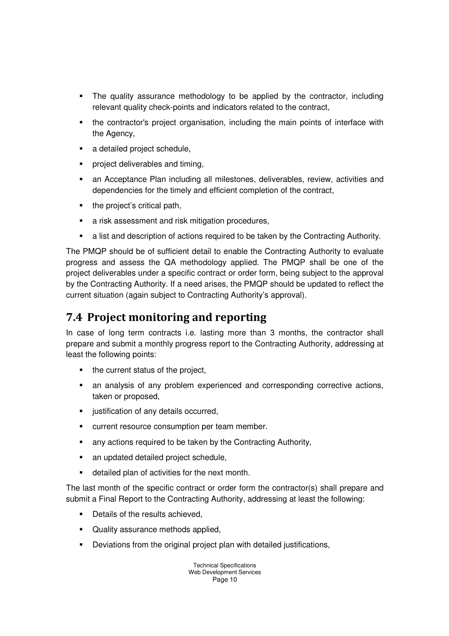- The quality assurance methodology to be applied by the contractor, including relevant quality check-points and indicators related to the contract,
- the contractor's project organisation, including the main points of interface with the Agency,
- a detailed project schedule.
- **•** project deliverables and timing,
- an Acceptance Plan including all milestones, deliverables, review, activities and dependencies for the timely and efficient completion of the contract,
- the project's critical path,
- a risk assessment and risk mitigation procedures,
- a list and description of actions required to be taken by the Contracting Authority.

The PMQP should be of sufficient detail to enable the Contracting Authority to evaluate progress and assess the QA methodology applied. The PMQP shall be one of the project deliverables under a specific contract or order form, being subject to the approval by the Contracting Authority. If a need arises, the PMQP should be updated to reflect the current situation (again subject to Contracting Authority's approval).

#### 7.4 Project monitoring and reporting

In case of long term contracts i.e. lasting more than 3 months, the contractor shall prepare and submit a monthly progress report to the Contracting Authority, addressing at least the following points:

- the current status of the project.
- an analysis of any problem experienced and corresponding corrective actions, taken or proposed,
- **u** iustification of any details occurred.
- **EXECUTE:** current resource consumption per team member.
- **EXECT** any actions required to be taken by the Contracting Authority,
- an updated detailed project schedule,
- detailed plan of activities for the next month.

The last month of the specific contract or order form the contractor(s) shall prepare and submit a Final Report to the Contracting Authority, addressing at least the following:

- Details of the results achieved,
- Quality assurance methods applied,
- Deviations from the original project plan with detailed justifications,

Technical Specifications Web Development Services Page 10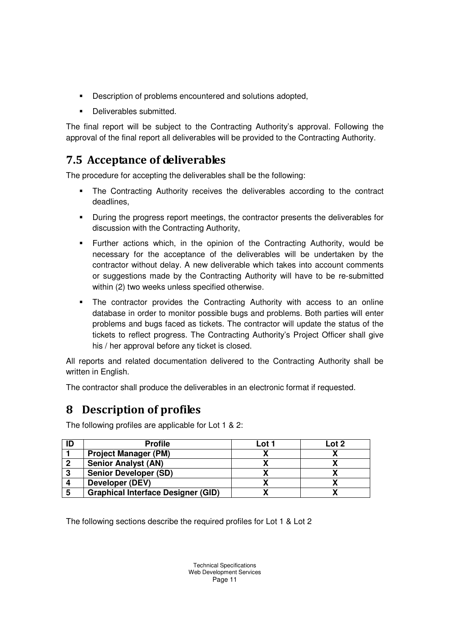- Description of problems encountered and solutions adopted,
- **•** Deliverables submitted.

The final report will be subject to the Contracting Authority's approval. Following the approval of the final report all deliverables will be provided to the Contracting Authority.

#### 7.5 Acceptance of deliverables

The procedure for accepting the deliverables shall be the following:

- The Contracting Authority receives the deliverables according to the contract deadlines,
- During the progress report meetings, the contractor presents the deliverables for discussion with the Contracting Authority,
- Further actions which, in the opinion of the Contracting Authority, would be necessary for the acceptance of the deliverables will be undertaken by the contractor without delay. A new deliverable which takes into account comments or suggestions made by the Contracting Authority will have to be re-submitted within (2) two weeks unless specified otherwise.
- The contractor provides the Contracting Authority with access to an online database in order to monitor possible bugs and problems. Both parties will enter problems and bugs faced as tickets. The contractor will update the status of the tickets to reflect progress. The Contracting Authority's Project Officer shall give his / her approval before any ticket is closed.

All reports and related documentation delivered to the Contracting Authority shall be written in English.

The contractor shall produce the deliverables in an electronic format if requested.

#### 8 Description of profiles

The following profiles are applicable for Lot 1 & 2:

|   | <b>Profile</b>                            | Lot 1 | Lot 2 |
|---|-------------------------------------------|-------|-------|
|   | <b>Project Manager (PM)</b>               |       |       |
| 2 | <b>Senior Analyst (AN)</b>                |       |       |
| 3 | <b>Senior Developer (SD)</b>              |       |       |
|   | Developer (DEV)                           |       |       |
|   | <b>Graphical Interface Designer (GID)</b> |       |       |

The following sections describe the required profiles for Lot 1 & Lot 2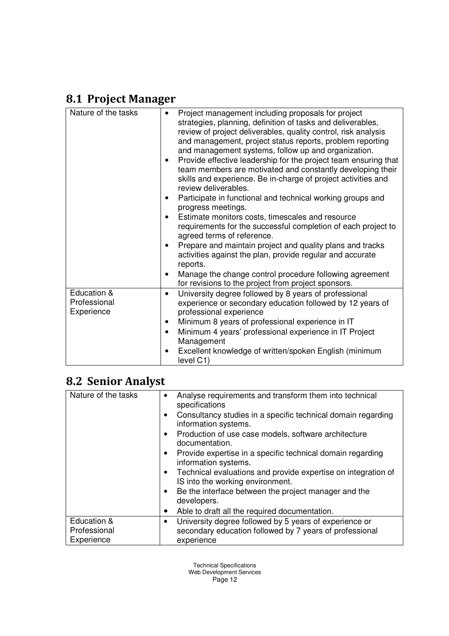### 8.1 Project Manager

| Nature of the tasks                       | Project management including proposals for project<br>٠<br>strategies, planning, definition of tasks and deliverables,<br>review of project deliverables, quality control, risk analysis<br>and management, project status reports, problem reporting<br>and management systems, follow up and organization.<br>Provide effective leadership for the project team ensuring that<br>$\bullet$<br>team members are motivated and constantly developing their<br>skills and experience. Be in-charge of project activities and<br>review deliverables.<br>Participate in functional and technical working groups and<br>٠<br>progress meetings.<br>Estimate monitors costs, timescales and resource<br>$\bullet$<br>requirements for the successful completion of each project to<br>agreed terms of reference.<br>Prepare and maintain project and quality plans and tracks<br>٠<br>activities against the plan, provide regular and accurate<br>reports.<br>Manage the change control procedure following agreement<br>$\bullet$<br>for revisions to the project from project sponsors. |
|-------------------------------------------|----------------------------------------------------------------------------------------------------------------------------------------------------------------------------------------------------------------------------------------------------------------------------------------------------------------------------------------------------------------------------------------------------------------------------------------------------------------------------------------------------------------------------------------------------------------------------------------------------------------------------------------------------------------------------------------------------------------------------------------------------------------------------------------------------------------------------------------------------------------------------------------------------------------------------------------------------------------------------------------------------------------------------------------------------------------------------------------|
| Education &<br>Professional<br>Experience | University degree followed by 8 years of professional<br>$\bullet$<br>experience or secondary education followed by 12 years of<br>professional experience<br>Minimum 8 years of professional experience in IT<br>٠<br>Minimum 4 years' professional experience in IT Project<br>$\bullet$<br>Management<br>Excellent knowledge of written/spoken English (minimum<br>level C1)                                                                                                                                                                                                                                                                                                                                                                                                                                                                                                                                                                                                                                                                                                        |

### 8.2 Senior Analyst

| Nature of the tasks                       | Analyse requirements and transform them into technical<br>٠<br>specifications                                                        |
|-------------------------------------------|--------------------------------------------------------------------------------------------------------------------------------------|
|                                           | Consultancy studies in a specific technical domain regarding<br>information systems.                                                 |
|                                           | Production of use case models, software architecture<br>$\bullet$<br>documentation.                                                  |
|                                           | Provide expertise in a specific technical domain regarding<br>information systems.                                                   |
|                                           | Technical evaluations and provide expertise on integration of<br>٠<br>IS into the working environment.                               |
|                                           | Be the interface between the project manager and the<br>٠<br>developers.                                                             |
|                                           | Able to draft all the required documentation.<br>$\bullet$                                                                           |
| Education &<br>Professional<br>Experience | University degree followed by 5 years of experience or<br>٠<br>secondary education followed by 7 years of professional<br>experience |

Technical Specifications Web Development Services Page 12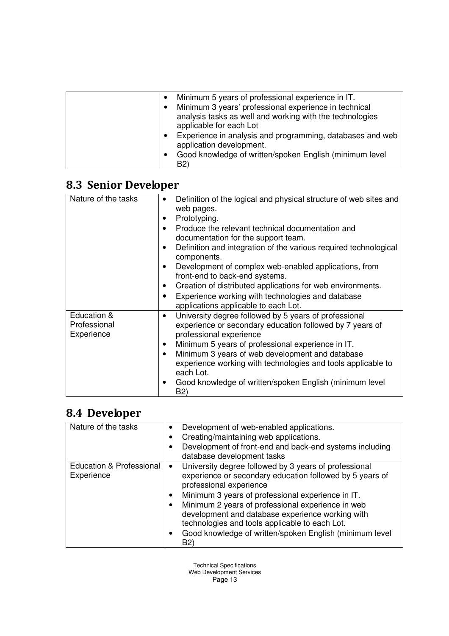| Minimum 5 years of professional experience in IT.                                     |
|---------------------------------------------------------------------------------------|
| Minimum 3 years' professional experience in technical                                 |
| analysis tasks as well and working with the technologies                              |
| applicable for each Lot                                                               |
| Experience in analysis and programming, databases and web<br>application development. |
| Good knowledge of written/spoken English (minimum level                               |
| B2)                                                                                   |

### 8.3 Senior Developer

| Nature of the tasks                       | Definition of the logical and physical structure of web sites and<br>web pages.<br>Prototyping.<br>Produce the relevant technical documentation and<br>documentation for the support team.<br>Definition and integration of the various required technological<br>٠<br>components.<br>Development of complex web-enabled applications, from<br>front-end to back-end systems.<br>Creation of distributed applications for web environments.<br>٠<br>Experience working with technologies and database<br>applications applicable to each Lot. |
|-------------------------------------------|-----------------------------------------------------------------------------------------------------------------------------------------------------------------------------------------------------------------------------------------------------------------------------------------------------------------------------------------------------------------------------------------------------------------------------------------------------------------------------------------------------------------------------------------------|
| Education &<br>Professional<br>Experience | University degree followed by 5 years of professional<br>$\bullet$<br>experience or secondary education followed by 7 years of<br>professional experience<br>Minimum 5 years of professional experience in IT.<br>$\bullet$<br>Minimum 3 years of web development and database<br>experience working with technologies and tools applicable to<br>each Lot.<br>Good knowledge of written/spoken English (minimum level<br>٠<br>B2)                                                                                                            |

### 8.4 Developer

| Nature of the tasks                               | Development of web-enabled applications.                                                                                                                                                                                                                                                                                                                                                                                                    |
|---------------------------------------------------|---------------------------------------------------------------------------------------------------------------------------------------------------------------------------------------------------------------------------------------------------------------------------------------------------------------------------------------------------------------------------------------------------------------------------------------------|
|                                                   | Creating/maintaining web applications.                                                                                                                                                                                                                                                                                                                                                                                                      |
|                                                   | Development of front-end and back-end systems including                                                                                                                                                                                                                                                                                                                                                                                     |
|                                                   | database development tasks                                                                                                                                                                                                                                                                                                                                                                                                                  |
| <b>Education &amp; Professional</b><br>Experience | University degree followed by 3 years of professional<br>experience or secondary education followed by 5 years of<br>professional experience<br>Minimum 3 years of professional experience in IT.<br>Minimum 2 years of professional experience in web<br>development and database experience working with<br>technologies and tools applicable to each Lot.<br>Good knowledge of written/spoken English (minimum level<br>B <sub>2</sub> ) |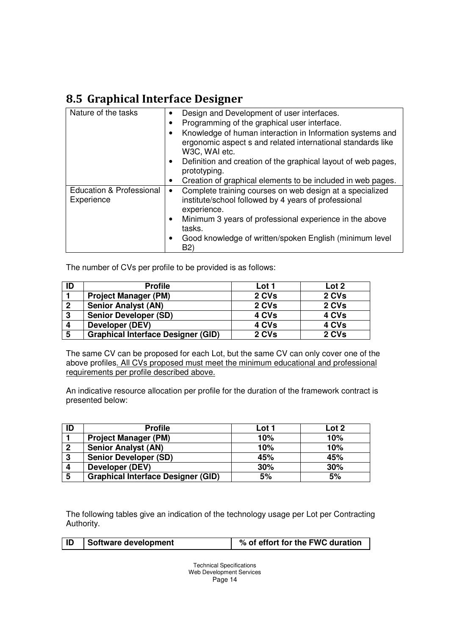### 8.5 Graphical Interface Designer

| Nature of the tasks                               | Design and Development of user interfaces.<br>٠<br>Programming of the graphical user interface.<br>٠<br>Knowledge of human interaction in Information systems and<br>$\bullet$<br>ergonomic aspect s and related international standards like<br>W3C, WAI etc.<br>Definition and creation of the graphical layout of web pages,<br>$\bullet$<br>prototyping.<br>Creation of graphical elements to be included in web pages.<br>٠ |
|---------------------------------------------------|----------------------------------------------------------------------------------------------------------------------------------------------------------------------------------------------------------------------------------------------------------------------------------------------------------------------------------------------------------------------------------------------------------------------------------|
| <b>Education &amp; Professional</b><br>Experience | Complete training courses on web design at a specialized<br>٠<br>institute/school followed by 4 years of professional<br>experience.<br>Minimum 3 years of professional experience in the above<br>٠<br>tasks.<br>Good knowledge of written/spoken English (minimum level<br>٠<br>B2)                                                                                                                                            |

The number of CVs per profile to be provided is as follows:

| ID               | <b>Profile</b>                            | Lot 1 | Lot 2 |
|------------------|-------------------------------------------|-------|-------|
|                  | <b>Project Manager (PM)</b>               | 2 CVs | 2 CVs |
| $\overline{2}$   | <b>Senior Analyst (AN)</b>                | 2 CVs | 2 CVs |
| $\boldsymbol{3}$ | <b>Senior Developer (SD)</b>              | 4 CVs | 4 CVs |
| 4                | Developer (DEV)                           | 4 CVs | 4 CVs |
| 5                | <b>Graphical Interface Designer (GID)</b> | 2 CVs | 2 CVs |

The same CV can be proposed for each Lot, but the same CV can only cover one of the above profiles. All CVs proposed must meet the minimum educational and professional requirements per profile described above.

An indicative resource allocation per profile for the duration of the framework contract is presented below:

| ID           | <b>Profile</b>                            | Lot 1 | Lot 2 |
|--------------|-------------------------------------------|-------|-------|
|              | <b>Project Manager (PM)</b>               | 10%   | 10%   |
| 2            | <b>Senior Analyst (AN)</b>                | 10%   | 10%   |
| $\mathbf{3}$ | <b>Senior Developer (SD)</b>              | 45%   | 45%   |
|              | Developer (DEV)                           | 30%   | 30%   |
| 5            | <b>Graphical Interface Designer (GID)</b> | 5%    | 5%    |

The following tables give an indication of the technology usage per Lot per Contracting Authority.

|  | ID | Software development | % of effort for the FWC duration |
|--|----|----------------------|----------------------------------|
|--|----|----------------------|----------------------------------|